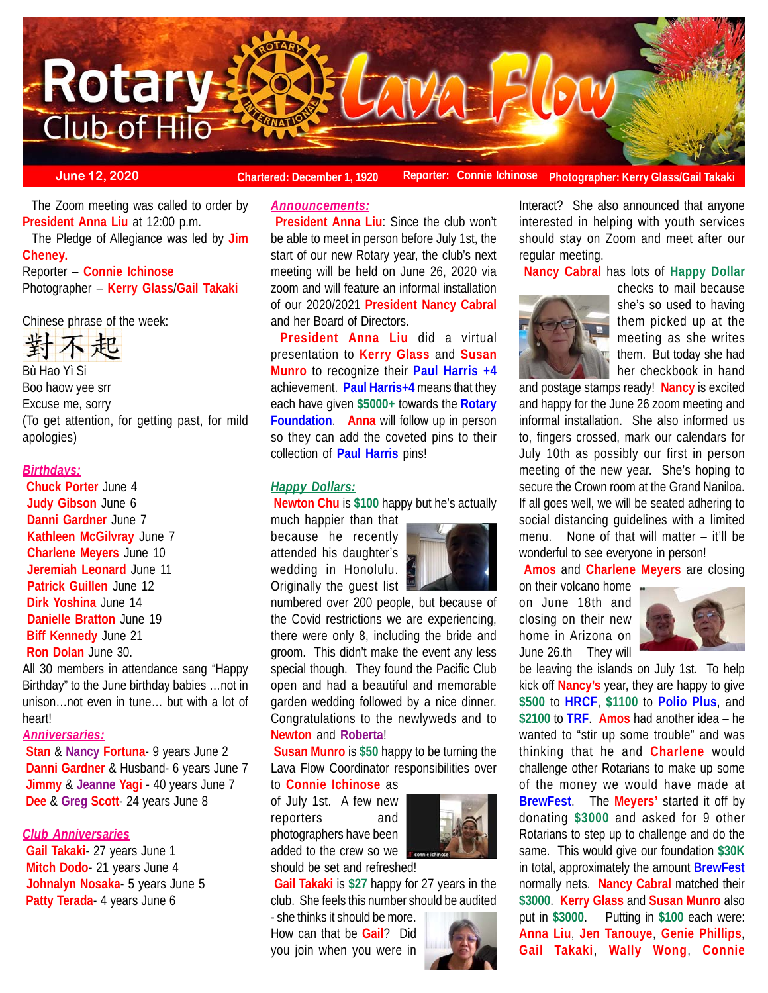

**June 12, 2020 Chartered: December 1, 1920** Reporter: Connie Ichinose Photographer: Kerry Glass/Gail Takak

 The Zoom meeting was called to order by **President Anna Liu** at 12:00 p.m.

 The Pledge of Allegiance was led by **Jim Cheney.**

Reporter – **Connie Ichinose** Photographer – **Kerry Glass**/**Gail Takaki**

Chinese phrase of the week:



Bù Hao Yì Si Boo haow yee srr Excuse me, sorry (To get attention, for getting past, for mild apologies)

## *Birthdays:*

**Chuck Porter** June 4 **Judy Gibson** June 6 **Danni Gardner** June 7 **Kathleen McGilvray** June 7 **Charlene Meyers** June 10 **Jeremiah Leonard** June 11 **Patrick Guillen** June 12 **Dirk Yoshina** June 14 **Danielle Bratton** June 19 **Biff Kennedy** June 21 **Ron Dolan** June 30.

All 30 members in attendance sang "Happy Birthday" to the June birthday babies …not in unison…not even in tune… but with a lot of heart!

## *Anniversaries:*

 **Stan** & **Nancy Fortuna**- 9 years June 2  **Danni Gardner** & Husband- 6 years June 7  **Jimmy** & **Jeanne Yagi** - 40 years June 7  **Dee** & **Greg Scott**- 24 years June 8

## *Club Anniversaries*

**Gail Takaki**- 27 years June 1 **Mitch Dodo**- 21 years June 4 **Johnalyn Nosaka**- 5 years June 5 **Patty Terada**- 4 years June 6

# *Announcements:*

**President Anna Liu:** Since the club won't be able to meet in person before July 1st, the start of our new Rotary year, the club's next meeting will be held on June 26, 2020 via zoom and will feature an informal installation of our 2020/2021 **President Nancy Cabral** and her Board of Directors.

**President Anna Liu** did a virtual presentation to **Kerry Glass** and **Susan Munro** to recognize their **Paul Harris +4** achievement. **Paul Harris+4** means that they each have given **\$5000+** towards the **Rotary Foundation**. **Anna** will follow up in person so they can add the coveted pins to their collection of **Paul Harris** pins!

## *Happy Dollars:*

**Newton Chu** is **\$100** happy but he's actually

much happier than that because he recently attended his daughter's wedding in Honolulu. Originally the guest list



numbered over 200 people, but because of the Covid restrictions we are experiencing, there were only 8, including the bride and groom. This didn't make the event any less special though. They found the Pacific Club open and had a beautiful and memorable garden wedding followed by a nice dinner. Congratulations to the newlyweds and to **Newton** and **Roberta**!

**Susan Munro** is **\$50** happy to be turning the Lava Flow Coordinator responsibilities over to **Connie Ichinose** as

of July 1st. A few new reporters and photographers have been added to the crew so we should be set and refreshed!



**Gail Takaki** is **\$27** happy for 27 years in the club. She feels this number should be audited

- she thinks it should be more. How can that be **Gail**? Did you join when you were in



Interact? She also announced that anyone interested in helping with youth services should stay on Zoom and meet after our regular meeting.

**Nancy Cabral** has lots of **Happy Dollar**



checks to mail because she's so used to having them picked up at the meeting as she writes them. But today she had her checkbook in hand

and postage stamps ready! **Nancy** is excited and happy for the June 26 zoom meeting and informal installation. She also informed us to, fingers crossed, mark our calendars for July 10th as possibly our first in person meeting of the new year. She's hoping to secure the Crown room at the Grand Naniloa. If all goes well, we will be seated adhering to social distancing guidelines with a limited menu. None of that will matter – it'll be wonderful to see everyone in person!

**Amos** and **Charlene Meyers** are closing

on their volcano home on June 18th and closing on their new home in Arizona on June 26.th They will



be leaving the islands on July 1st. To help kick off **Nancy's** year, they are happy to give **\$500** to **HRCF**, **\$1100** to **Polio Plus**, and **\$2100** to **TRF**. **Amos** had another idea – he wanted to "stir up some trouble" and was thinking that he and **Charlene** would challenge other Rotarians to make up some of the money we would have made at **BrewFest**. The **Meyers'** started it off by donating **\$3000** and asked for 9 other Rotarians to step up to challenge and do the same. This would give our foundation **\$30K** in total, approximately the amount **BrewFest** normally nets. **Nancy Cabral** matched their **\$3000**. **Kerry Glass** and **Susan Munro** also put in **\$3000**. Putting in **\$100** each were: **Anna Liu**, **Jen Tanouye**, **Genie Phillips**, **Gail Takaki**, **Wally Wong**, **Connie**

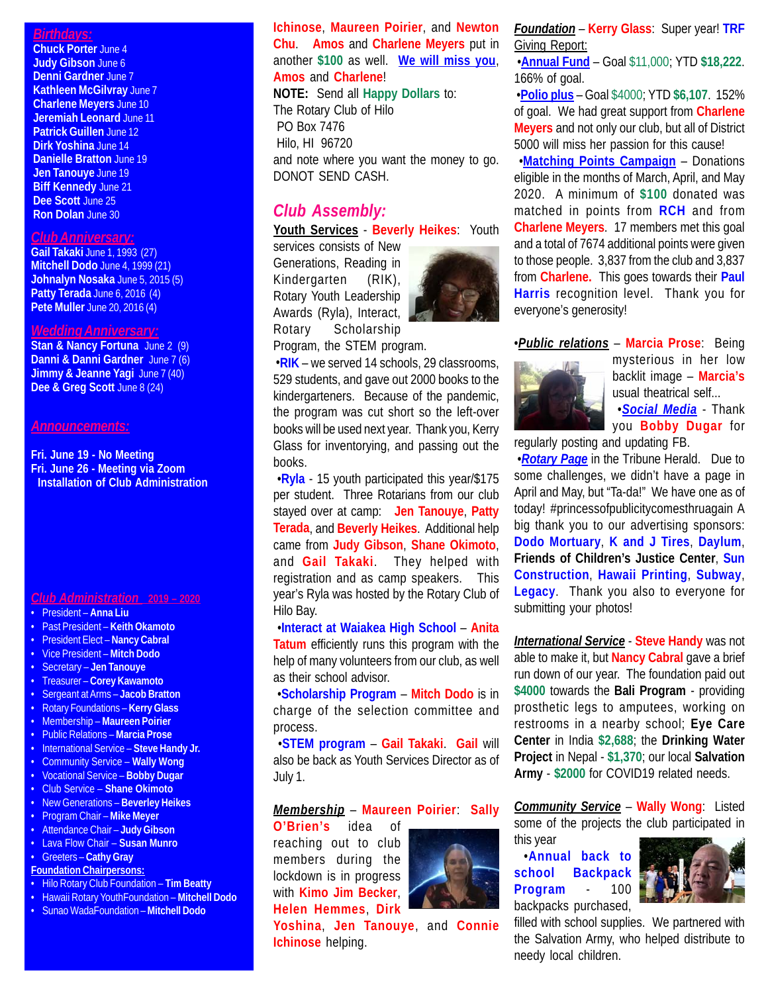## *Birthdays:*

**Chuck Porter** June 4 **Judy Gibson** June 6 **Denni Gardner** June 7 **Kathleen McGilvray** June 7 **Charlene Meyers** June 10 **Jeremiah Leonard** June 11 **Patrick Guillen** June 12 **Dirk Yoshina** June 14 **Danielle Bratton** June 19 **Jen Tanouye** June 19 **Biff Kennedy** June 21 **Dee Scott** June 25 **Ron Dolan** June 30

### *Club Anniversary:*

**Gail Takaki** June 1, 1993 (27) **Mitchell Dodo** June 4, 1999 (21) **Johnalyn Nosaka** June 5, 2015 (5) **Patty Terada** June 6, 2016 (4) **Pete Muller** June 20, 2016 (4)

#### *Wedding Anniversary:*

**Stan & Nancy Fortuna** June 2 (9) **Danni & Danni Gardner** June 7 (6) **Jimmy & Jeanne Yagi** June 7 (40) Dee & Greg Scott June 8 (24)

### *Announcements:*

**Fri. June 19 - No Meeting Fri. June 26 - Meeting via Zoom Installation of Club Administration**

### *Club Administration* **2019 – 2020**

- President **Anna Liu**
- Past President **Keith Okamoto**
- President Elect **Nancy Cabral**
- Vice President **Mitch Dodo**
- Secretary **Jen Tanouye**
- Treasurer **Corey Kawamoto**
- Sergeant at Arms – **Jacob Bratton**
- Rotary Foundations **Kerry Glass**
- Membership **Maureen Poirier**
- Public Relations **Marcia Prose**
- International Service **Steve Handy Jr.**
- Community Service **Wally Wong**
- Vocational Service **Bobby Dugar**
- Club Service **Shane Okimoto**
- New Generations **Beverley Heikes** • Program Chair – **Mike Meyer**
- Attendance Chair **Judy Gibson**
- Lava Flow Chair **Susan Munro**
- Greeters **Cathy Gray**
- **Foundation Chairpersons:**
- Hilo Rotary Club Foundation **Tim Beatty**
- Hawaii Rotary YouthFoundation **Mitchell Dodo**
- Sunao WadaFoundation **Mitchell Dodo**

## **Ichinose**, **Maureen Poirier**, and **Newton Chu**. **Amos** and **Charlene Meyers** put in another **\$100** as well. **We will miss you**, **Amos** and **Charlene**!

**NOTE:** Send all **Happy Dollars** to: The Rotary Club of Hilo PO Box 7476 Hilo, HI 96720 and note where you want the money to go. DONOT SEND CASH.

# *Club Assembly:*

## **Youth Services** - **Beverly Heikes**: Youth

services consists of New Generations, Reading in Kindergarten (RIK), Rotary Youth Leadership Awards (Ryla), Interact, Rotary Scholarship

Program, the STEM program.



 •**RIK** – we served 14 schools, 29 classrooms, 529 students, and gave out 2000 books to the kindergarteners. Because of the pandemic, the program was cut short so the left-over books will be used next year. Thank you, Kerry Glass for inventorying, and passing out the books.

 •**Ryla** - 15 youth participated this year/\$175 per student. Three Rotarians from our club stayed over at camp: **Jen Tanouye**, **Patty Terada**, and **Beverly Heikes**. Additional help came from **Judy Gibson**, **Shane Okimoto**, and **Gail Takaki**. They helped with registration and as camp speakers. This year's Ryla was hosted by the Rotary Club of Hilo Bay.

 •**Interact at Waiakea High School** – **Anita Tatum** efficiently runs this program with the help of many volunteers from our club, as well as their school advisor.

 •**Scholarship Program** – **Mitch Dodo** is in charge of the selection committee and process.

 •**STEM program** – **Gail Takaki**. **Gail** will also be back as Youth Services Director as of July 1.

## *Membership* – **Maureen Poirier**: **Sally**

**O'Brien's** idea of reaching out to club members during the lockdown is in progress with **Kimo Jim Becker**, **Helen Hemmes**, **Dirk**



**Yoshina**, **Jen Tanouye**, and **Connie Ichinose** helping.

*Foundation* – **Kerry Glass**: Super year! **TRF** Giving Report:

 •**Annual Fund** – Goal \$11,000; YTD **\$18,222**. 166% of goal.

 •**Polio plus** – Goal \$4000; YTD **\$6,107**. 152% of goal. We had great support from **Charlene Meyers** and not only our club, but all of District 5000 will miss her passion for this cause!

 •**Matching Points Campaign** – Donations eligible in the months of March, April, and May 2020. A minimum of **\$100** donated was matched in points from **RCH** and from **Charlene Meyers**. 17 members met this goal and a total of 7674 additional points were given to those people. 3,837 from the club and 3,837 from **Charlene.** This goes towards their **Paul Harris** recognition level. Thank you for everyone's generosity!

### •*Public relations* – **Marcia Prose**: Being



mysterious in her low backlit image – **Marcia's** usual theatrical self... •*Social Media* - Thank

you **Bobby Dugar** for

regularly posting and updating FB.

 •*Rotary Page* in the Tribune Herald. Due to some challenges, we didn't have a page in April and May, but "Ta-da!" We have one as of today! #princessofpublicitycomesthruagain A big thank you to our advertising sponsors: **Dodo Mortuary**, **K and J Tires**, **Daylum**, **Friends of Children's Justice Center**, **Sun Construction**, **Hawaii Printing**, **Subway**, **Legacy**. Thank you also to everyone for submitting your photos!

*International Service* - **Steve Handy** was not able to make it, but **Nancy Cabral** gave a brief run down of our year. The foundation paid out **\$4000** towards the **Bali Program** - providing prosthetic legs to amputees, working on restrooms in a nearby school; **Eye Care Center** in India **\$2,688**; the **Drinking Water Project** in Nepal - **\$1,370**; our local **Salvation Army** - **\$2000** for COVID19 related needs.

*Community Service* – **Wally Wong**: Listed some of the projects the club participated in

this year

 •**Annual back to school Backpack Program** - 100 backpacks purchased,



filled with school supplies. We partnered with the Salvation Army, who helped distribute to needy local children.